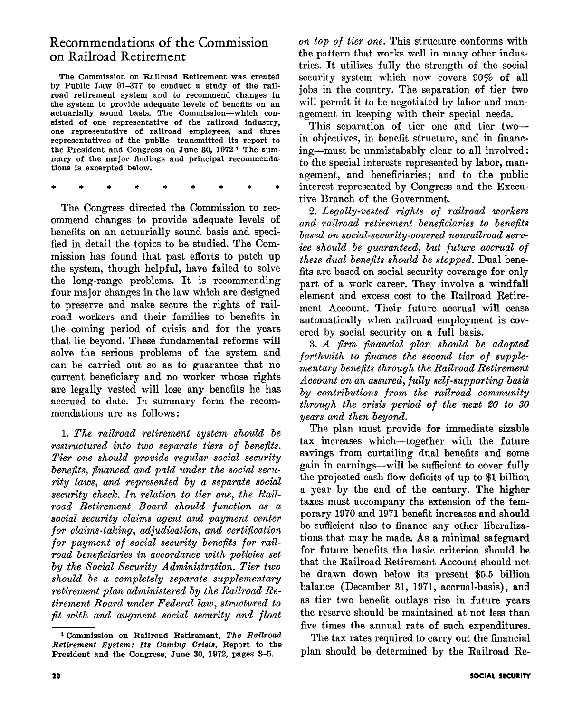## Recommendations of the Commission on Railroad Retirement

The Commission on Railroad Retirement was created by Public Law 91-3'77 to conduct a study of the railroad retirement system and to recommend changes in the system to provide adequate levels of benefits on an actuarially sound basis. The Commission-which consisted of one representative of the railroad industry, one representative of railroad employees, and three representatives of the public-transmitted its report to the President and Congress on June 30, 1972 1 The summary of the major findings and principal recommendations is excerpted below.

\* \* \* \* \* \* \* \* \*

The Congress directed the Commission to recommend changes to provide adequate levels of benefits on an actuarially sound basis and specified in detail the topics to be studied. The Commission has found that past efforts to patch up the system, though helpful, have failed to solve the long-range problems. It is recommending four major changes in the law which are designed to preserve and make secure the rights of railroad workers and their families to benefits in the coming period of crisis and for the years that lie beyond. These fundamental reforms will solve the serious problems of the system and can be carried out so as to guarantee that no current beneficiary and no worker whose rights are legally vested will lose any benefits he has accrued to date. In summary form the recommendations are as follows:

1. The railroad retirement system should be restructured into two separate tiers of benefits. Tier one should provide regular social security  $b$ enefits, financed and paid under the social security laws, and represented by a separate social security check. In relation to tier one, the Railroad Retirement Board should function as a social security claims agent and payment center for claims- taking, adjudication, and certification for payment of social security benefits for railroad beneficiaries in accordance with policies set by the Social Security Administration. Tier two should be a completely separate supplementary retirement plan administered by the Railroad Retirement Board under Federal law, structured to fit with and augment social secum'ty and float

on top of tier one. This structure conforms with the pattern that works well in many other industries. It utilizes fully the strength of the social security system which now covers 90% of all jobs in the country. The separation of tier two will permit it to be negotiated by labor and management in keeping with their special needs.

This separation of tier one and tier twoin objectives, in benefit structure, and in financing-must be unmistabably clear to all involved: to the special interests represented by labor, management, and beneficiaries; and to the public interest represented by Congress and the Executive Branch of the Government.

2. Legally-vested rights of railroad workers and railroad retirement beneficiaries to benefits based on social-security-covered nonrailroad gervice should be guaranteed, but future accrual of these dual benefits should be stopped. Dual benefits are based on social security coverage for only part of a work career. They involve a windfall element and excess cost to the Railroad Retirement Account. Their future accrual will cease automatically when railroad employment is covered by social security on a full basis.

3. A firm financial plan should be adopted forthwith to finance the second tier of supplementary benefits through the Railroad Retirement Account on an assured, fully self-supporting basis by contributions from the railroad community through the crisis period of the next 80 to 30 years and then beyond.

The plan must provide for immediate sizable tax increases which-together with the future savings from curtailing dual benefits and some gain in earnings—will be sufficient to cover fully the projected cash flow deficits of up to \$1 billion a year by the end of the century. The higher taxes must accompany the extension of the temporary 1970 and 1971 benefit increases and should be sufficient also to finance any other liberalizations that may be made. As a minimal safeguard for future benefits the basic criterion should be that the Railroad Retirement Account should not be drawn down below its present \$5.5 billion balance (December 31, 1971, accrual-basis), and as tier two benefit outlays rise in future years the reserve should be maintained at not less than five times the annual rate of such expenditures.

The tax rates required to carry out the financial plan should be determined by the Railroad Re-

<sup>&</sup>lt;sup>1</sup> Commission on Railroad Retirement, The Railroad Retirement System: Its Coming Crisis, Report to the President and the Congress, June 30, 1972, pages 3-5.